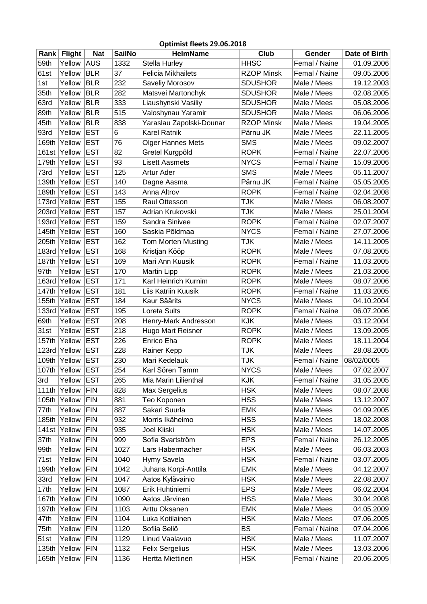| Optimist fleets 29.06.2018 |                  |            |               |                           |                   |                            |               |
|----------------------------|------------------|------------|---------------|---------------------------|-------------------|----------------------------|---------------|
|                            | Rank Flight      | <b>Nat</b> | <b>SailNo</b> | <b>HelmName</b>           | Club              | Gender                     | Date of Birth |
| 59th                       | Yellow           | <b>AUS</b> | 1332          | Stella Hurley             | <b>HHSC</b>       | Femal / Naine              | 01.09.2006    |
| 61st                       | Yellow           | <b>BLR</b> | 37            | <b>Felicia Mikhailets</b> | <b>RZOP Minsk</b> | Femal / Naine              | 09.05.2006    |
| 1st                        | Yellow           | <b>BLR</b> | 232           | Saveliy Morosov           | <b>SDUSHOR</b>    | Male / Mees                | 19.12.2003    |
| 35th                       | Yellow           | <b>BLR</b> | 282           | Matsvei Martonchyk        | <b>SDUSHOR</b>    | Male / Mees                | 02.08.2005    |
| 63rd                       | Yellow           | <b>BLR</b> | 333           | Liaushynski Vasiliy       | <b>SDUSHOR</b>    | Male / Mees                | 05.08.2006    |
| 89th                       | Yellow           | <b>BLR</b> | 515           | Valoshynau Yaramir        | <b>SDUSHOR</b>    | Male / Mees                | 06.06.2006    |
| 45th                       | Yellow           | <b>BLR</b> | 838           | Yaraslau Zapolski-Dounar  | <b>RZOP Minsk</b> | Male / Mees                | 19.04.2005    |
| 93rd                       | Yellow           | <b>EST</b> | 6             | <b>Karel Ratnik</b>       | Pärnu JK          | Male / Mees                | 22.11.2005    |
| 169th                      | Yellow           | <b>EST</b> | 76            | <b>Olger Hannes Mets</b>  | <b>SMS</b>        | Male / Mees                | 09.02.2007    |
|                            | 161st Yellow     | <b>EST</b> | 82            | Gretel Kurgpõld           | <b>ROPK</b>       | Femal / Naine              | 22.07.2006    |
| 179th                      | Yellow           | <b>EST</b> | 93            | <b>Lisett Aasmets</b>     | <b>NYCS</b>       | Femal / Naine              | 15.09.2006    |
| 73rd                       | Yellow           | <b>EST</b> | 125           | <b>Artur Ader</b>         | <b>SMS</b>        | Male / Mees                | 05.11.2007    |
| 139th                      | Yellow           | <b>EST</b> | 140           | Dagne Aasma               | Pärnu JK          | Femal / Naine              | 05.05.2005    |
| 189th                      | Yellow           | <b>EST</b> | 143           | Anna Altrov               | <b>ROPK</b>       | Femal / Naine              | 02.04.2008    |
| 173rd                      | Yellow           | <b>EST</b> | 155           | <b>Raul Ottesson</b>      | TJK               | Male / Mees                | 06.08.2007    |
|                            | 203rd Yellow     | <b>EST</b> | 157           | Adrian Krukovski          | TJK               | Male / Mees                | 25.01.2004    |
|                            | 193rd Yellow     | <b>EST</b> | 159           | Sandra Sinivee            | <b>ROPK</b>       | Femal / Naine              | 02.07.2007    |
| 145th                      | Yellow           | <b>EST</b> | 160           | Saskia Põldmaa            | <b>NYCS</b>       | Femal / Naine              | 27.07.2006    |
| 205th                      | Yellow           | <b>EST</b> | 162           | <b>Tom Morten Musting</b> | TJK               | Male / Mees                | 14.11.2005    |
|                            | 183rd Yellow     | <b>EST</b> | 168           | Kristjan Kööp             | <b>ROPK</b>       | Male / Mees                | 07.08.2005    |
|                            | 187th Yellow     | <b>EST</b> | 169           | Mari Ann Kuusik           | <b>ROPK</b>       | Femal / Naine              | 11.03.2005    |
| 97th                       | Yellow           | <b>EST</b> | 170           | <b>Martin Lipp</b>        | <b>ROPK</b>       | Male / Mees                | 21.03.2006    |
|                            | 163rd Yellow     | <b>EST</b> | 171           | Karl Heinrich Kurnim      | <b>ROPK</b>       | Male / Mees                | 08.07.2006    |
| 147th                      | Yellow           | <b>EST</b> | 181           | Liis Katriin Kuusik       | <b>ROPK</b>       | Femal / Naine              | 11.03.2005    |
| 155th                      | Yellow           | <b>EST</b> | 184           | Kaur Säärits              | <b>NYCS</b>       | Male / Mees                | 04.10.2004    |
|                            | 133rd Yellow     | <b>EST</b> | 195           | Loreta Sults              | ROPK              | Femal / Naine              | 06.07.2006    |
|                            | Yellow           | <b>EST</b> |               |                           | KJK               | Male / Mees                |               |
| 69th                       |                  |            | 208           | Henry-Mark Andresson      | <b>ROPK</b>       |                            | 03.12.2004    |
| 31st                       | Yellow           | <b>EST</b> | 218           | <b>Hugo Mart Reisner</b>  |                   | Male / Mees                | 13.09.2005    |
| 157th                      | Yellow           | <b>EST</b> | 226           | Enrico Eha                | <b>ROPK</b>       | Male / Mees                | 18.11.2004    |
|                            | 123rd Yellow     | <b>EST</b> | 228           | Rainer Kepp               | TJK               | Male / Mees                | 28.08.2005    |
|                            | 109th Yellow EST |            | 230           | Mari Kedelauk             | <b>TJK</b>        | Femal / Naine   08/02/0005 |               |
|                            | 107th Yellow     | <b>EST</b> | 254           | Karl Sören Tamm           | <b>NYCS</b>       | Male / Mees                | 07.02.2007    |
| 3rd                        | Yellow           | <b>EST</b> | 265           | Mia Marin Lilienthal      | <b>KJK</b>        | Femal / Naine              | 31.05.2005    |
|                            | 111th Yellow     | <b>FIN</b> | 828           | Max Sergelius             | <b>HSK</b>        | Male / Mees                | 08.07.2008    |
| 105th                      | Yellow           | <b>FIN</b> | 881           | Teo Koponen               | <b>HSS</b>        | Male / Mees                | 13.12.2007    |
| 77th                       | Yellow           | <b>FIN</b> | 887           | Sakari Suurla             | <b>EMK</b>        | Male / Mees                | 04.09.2005    |
| 185th                      | Yellow           | <b>FIN</b> | 932           | Morris Ikäheimo           | <b>HSS</b>        | Male / Mees                | 18.02.2008    |
|                            | 141st Yellow     | <b>FIN</b> | 935           | Joel Kiiski               | <b>HSK</b>        | Male / Mees                | 14.07.2005    |
| 37th                       | Yellow           | <b>FIN</b> | 999           | Sofia Svartström          | <b>EPS</b>        | Femal / Naine              | 26.12.2005    |
| 99th                       | Yellow           | <b>FIN</b> | 1027          | Lars Habermacher          | <b>HSK</b>        | Male / Mees                | 06.03.2003    |
| 71st                       | Yellow           | <b>FIN</b> | 1040          | Hymy Savela               | <b>HSK</b>        | Femal / Naine              | 03.07.2005    |
| 199th                      | Yellow           | <b>FIN</b> | 1042          | Juhana Korpi-Anttila      | <b>EMK</b>        | Male / Mees                | 04.12.2007    |
| 33rd                       | Yellow           | <b>FIN</b> | 1047          | Aatos Kylävainio          | <b>HSK</b>        | Male / Mees                | 22.08.2007    |
| 17th                       | Yellow           | <b>FIN</b> | 1087          | Erik Huhtiniemi           | <b>EPS</b>        | Male / Mees                | 06.02.2004    |
| 167th                      | Yellow           | <b>FIN</b> | 1090          | Aatos Järvinen            | <b>HSS</b>        | Male / Mees                | 30.04.2008    |
| 197th                      | Yellow           | <b>FIN</b> | 1103          | Arttu Oksanen             | <b>EMK</b>        | Male / Mees                | 04.05.2009    |
| 47th                       | Yellow           | <b>FIN</b> | 1104          | Luka Kotilainen           | <b>HSK</b>        | Male / Mees                | 07.06.2005    |
| 75th                       | Yellow           | <b>FIN</b> | 1120          | Sofiia Seliö              | <b>BS</b>         | Femal / Naine              | 07.04.2006    |
| 51st                       | Yellow           | <b>FIN</b> | 1129          | Linud Vaalavuo            | <b>HSK</b>        | Male / Mees                | 11.07.2007    |
| 135th                      | Yellow           | <b>FIN</b> | 1132          | <b>Felix Sergelius</b>    | <b>HSK</b>        | Male / Mees                | 13.03.2006    |
|                            | 165th Yellow     | <b>FIN</b> | 1136          | Hertta Miettinen          | <b>HSK</b>        | Femal / Naine              | 20.06.2005    |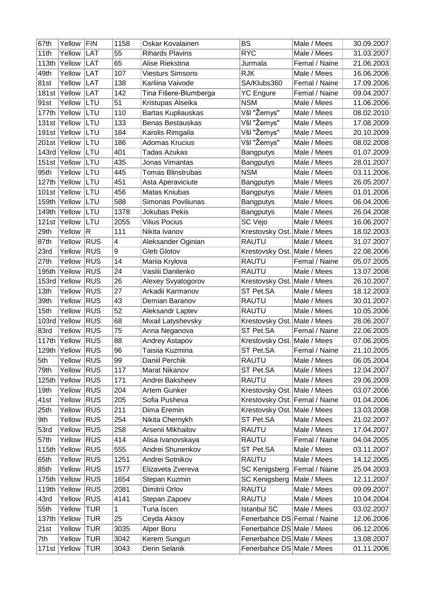| 67th  | Yellow       | FIN          | 1158        | Oskar Kovalainen         | BS                            | Male / Mees   | 30.09.2007 |
|-------|--------------|--------------|-------------|--------------------------|-------------------------------|---------------|------------|
| 11th  | Yellow       | <b>LAT</b>   | 55          | <b>Rihards Plavins</b>   | <b>RYC</b>                    | Male / Mees   | 31.03.2007 |
|       | 113th Yellow | LAT          | 65          | Alise Riekstina          | Jurmala                       | Femal / Naine | 21.06.2003 |
| 49th  | Yellow       | LAT          | 107         | <b>Viesturs Simsons</b>  | <b>RJK</b>                    | Male / Mees   | 16.06.2006 |
| 81st  | Yellow       | <b>LAT</b>   | 138         | Karliina Vaivode         | SA/Klubs360                   | Femal / Naine | 17.09.2006 |
|       | 181st Yellow | LAT          | 142         | Tina Fišere-Blumberga    | <b>YC Engure</b>              | Femal / Naine | 09.04.2007 |
| 91st  | Yellow       | LTU          | 51          | Kristupas Alseika        | <b>NSM</b>                    | Male / Mees   | 11.06.2006 |
|       | 177th Yellow | LTU          | 110         | Bartas Kupliauskas       | Všl "Žemys"                   | Male / Mees   | 08.02.2010 |
|       | 131st Yellow | LTU          | 133         | <b>Benas Bestauskas</b>  | Všl "Žemys"                   | Male / Mees   | 17.08.2009 |
|       | 191st Yellow | LTU          | 184         | Karolis Rimgaila         | Všl "Žemys"                   | Male / Mees   | 20.10.2009 |
|       | 201st Yellow | LTU          | 186         | <b>Adomas Krucius</b>    | Všl "Žemys"                   | Male / Mees   | 08.02.2008 |
|       | 143rd Yellow | LTU          | 401         | <b>Tadas Azukas</b>      | <b>Bangputys</b>              | Male / Mees   | 01.07.2009 |
|       | 151st Yellow | LTU          | 435         | Jonas Vimantas           | Bangputys                     | Male / Mees   | 28.01.2007 |
| 95th  | Yellow       | LTU          | 445         | <b>Tomas Blinstrubas</b> | <b>NSM</b>                    | Male / Mees   | 03.11.2006 |
|       | 127th Yellow | LTU          | 451         | Asta Aperaviciute        | <b>Bangputys</b>              | Male / Mees   | 26.05.2007 |
|       | 101st Yellow | LTU          | 456         | <b>Matas Kniubas</b>     | <b>Bangputys</b>              | Male / Mees   | 01.01.2006 |
|       | 159th Yellow | LTU          | 588         | Simonas Poviliunas       | <b>Bangputys</b>              | Male / Mees   | 06.04.2006 |
|       | 149th Yellow | LTU          | 1378        | <b>Jokubas Pekis</b>     | <b>Bangputys</b>              | Male / Mees   | 26.04.2008 |
|       | 121st Yellow | LTU          | 2055        | <b>Vilius Pocius</b>     | <b>SC Vejo</b>                | Male / Mees   | 16.06.2007 |
| 29th  | Yellow       | $\mathsf{R}$ | 111         | Nikita Ivanov            | Krestovsky Ost. Male / Mees   |               | 18.02.2003 |
| 87th  | Yellow       | <b>RUS</b>   | 4           | Aleksander Oginian       | RAUTU                         | Male / Mees   | 31.07.2007 |
| 23rd  | Yellow       | <b>RUS</b>   | 9           | <b>Gleb Glotov</b>       | Krestovsky Ost. Male / Mees   |               | 22.08.2006 |
| 27th  | Yellow       | <b>RUS</b>   | 14          | Mariia Krylova           | RAUTU                         | Femal / Naine | 05.07.2005 |
| 195th | Yellow       | <b>RUS</b>   | 24          | Vasilii Danilenko        | RAUTU                         | Male / Mees   | 13.07.2008 |
|       | 153rd Yellow | <b>RUS</b>   | 26          | Alexey Svyatogorov       | Krestovsky Ost. Male / Mees   |               | 26.10.2007 |
| 13th  | Yellow       | <b>RUS</b>   | 27          | Arkadii Karmanov         | ST Pet.SA                     | Male / Mees   | 18.12.2003 |
| 39th  | Yellow       | <b>RUS</b>   | 43          | Demian Baranov           | RAUTU                         | Male / Mees   | 30.01.2007 |
| 15th  | Yellow       | <b>RUS</b>   | 52          | Aleksandr Laptev         | RAUTU                         | Male / Mees   | 10.05.2006 |
|       | 103rd Yellow | <b>RUS</b>   | 68          | Mixail Latyshevsky       | Krestovsky Ost. Male / Mees   |               | 28.06.2007 |
| 83rd  | Yellow       | <b>RUS</b>   | 75          | Anna Neganova            | ST Pet.SA                     | Femal / Naine | 22.06.2005 |
| 117th | Yellow       | <b>RUS</b>   | 88          | Andrey Astapov           | Krestovsky Ost. Male / Mees   |               | 07.06.2005 |
| 129th | Yellow       | <b>RUS</b>   | 96          | Taisiia Kuzmina          | ST Pet.SA                     | Femal / Naine | 21.10.2005 |
| 5th   | Yellow RUS   |              | 99          | Daniil Perchik           | RAUTU                         | Male / Mees   | 06.05.2004 |
| 79th  | Yellow       | <b>RUS</b>   | 117         | Marat Nikanov            | ST Pet.SA                     | Male / Mees   | 12.04.2007 |
|       | 125th Yellow | <b>RUS</b>   | 171         | Andrei Baksheev          | RAUTU                         | Male / Mees   | 29.06.2009 |
| 19th  | Yellow       | <b>RUS</b>   | 204         | <b>Artem Gunker</b>      | Krestovsky Ost. Male / Mees   |               | 03.07.2006 |
| 41st  | Yellow       | <b>RUS</b>   | 205         | Sofia Pusheva            | Krestovsky Ost. Femal / Naine |               | 01.04.2006 |
| 25th  | Yellow       | <b>RUS</b>   | 211         | Dima Eremin              | Krestovsky Ost. Male / Mees   |               | 13.03.2008 |
| 9th   | Yellow       | <b>RUS</b>   | 254         | Nikita Chernykh          | ST Pet.SA                     | Male / Mees   | 21.02.2007 |
| 53rd  | Yellow       | <b>RUS</b>   | 258         | Arsenii Mikhailov        | RAUTU                         | Male / Mees   | 17.04.2007 |
| 57th  | Yellow       | <b>RUS</b>   | 414         | Alisa Ivanovskaya        | RAUTU                         | Femal / Naine | 04.04.2005 |
|       | 115th Yellow | <b>RUS</b>   | 555         | Andrei Shunenkov         | ST Pet.SA                     | Male / Mees   | 03.11.2007 |
| 65th  | Yellow       | <b>RUS</b>   | 1251        | Andrei Sotnikov          | RAUTU                         | Male / Mees   | 14.12.2005 |
| 85th  | Yellow       | <b>RUS</b>   | 1577        | Elizaveta Zvereva        | <b>SC Kenigsberg</b>          | Femal / Naine | 25.04.2003 |
|       | 175th Yellow | <b>RUS</b>   | 1654        | Stepan Kuzmin            | <b>SC Kenigsberg</b>          | Male / Mees   | 12.11.2007 |
|       | 119th Yellow | <b>RUS</b>   | 2081        | Dimitrii Orlov           | RAUTU                         | Male / Mees   | 09.09.2007 |
| 43rd  | Yellow       | <b>RUS</b>   | 4141        | Stepan Zapoev            | RAUTU                         | Male / Mees   | 10.04.2004 |
| 55th  |              | <b>TUR</b>   | $\mathbf 1$ | Tuna Iscen               |                               | Male / Mees   |            |
|       | Yellow       |              |             |                          | <b>Istanbul SC</b>            |               | 03.02.2007 |
|       | 137th Yellow | <b>TUR</b>   | 25          | Ceyda Aksoy              | Fenerbahce DS Femal / Naine   |               | 12.06.2006 |
| 21st  | Yellow       | <b>TUR</b>   | 3035        | Alper Boru               | Fenerbahce DS Male / Mees     |               | 06.12.2006 |
| 7th   | Yellow       | <b>TUR</b>   | 3042        | Kerem Sungun             | Fenerbahce DS Male / Mees     |               | 13.08.2007 |
|       | 171st Yellow | <b>TUR</b>   | 3043        | Derin Selanik            | Fenerbahce DS Male / Mees     |               | 01.11.2006 |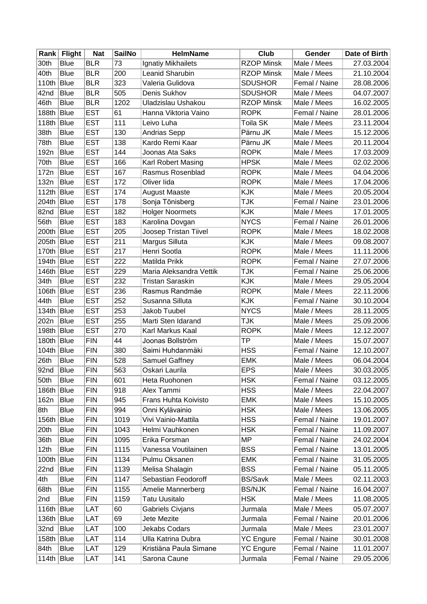|                  | Rank Flight | <b>Nat</b> | <b>SailNo</b> | <b>HelmName</b>         | Club              | Gender        | Date of Birth |
|------------------|-------------|------------|---------------|-------------------------|-------------------|---------------|---------------|
| 30th             | <b>Blue</b> | <b>BLR</b> | 73            | Ignatiy Mikhailets      | <b>RZOP Minsk</b> | Male / Mees   | 27.03.2004    |
| 40th             | <b>Blue</b> | <b>BLR</b> | 200           | Leanid Sharubin         | <b>RZOP Minsk</b> | Male / Mees   | 21.10.2004    |
| 110th            | Blue        | <b>BLR</b> | 323           | Valeria Gulidova        | <b>SDUSHOR</b>    | Femal / Naine | 28.08.2006    |
| 42nd             | Blue        | <b>BLR</b> | 505           | Denis Sukhov            | <b>SDUSHOR</b>    | Male / Mees   | 04.07.2007    |
| 46th             | <b>Blue</b> | <b>BLR</b> | 1202          | Uladzislau Ushakou      | <b>RZOP Minsk</b> | Male / Mees   | 16.02.2005    |
| 188th Blue       |             | <b>EST</b> | 61            | Hanna Viktoria Vaino    | <b>ROPK</b>       | Femal / Naine | 28.01.2006    |
| 118th Blue       |             | <b>EST</b> | 111           | Leivo Luha              | Toila SK          | Male / Mees   | 23.11.2004    |
| 38th             | <b>Blue</b> | <b>EST</b> | 130           | Andrias Sepp            | Pärnu JK          | Male / Mees   | 15.12.2006    |
| 78th             | <b>Blue</b> | <b>EST</b> | 138           | Kardo Remi Kaar         | Pärnu JK          | Male / Mees   | 20.11.2004    |
| 192 <sub>n</sub> | <b>Blue</b> | <b>EST</b> | 144           | Joonas Ata Saks         | <b>ROPK</b>       | Male / Mees   | 17.03.2009    |
| 70th             | <b>Blue</b> | <b>EST</b> | 166           | Karl Robert Masing      | <b>HPSK</b>       | Male / Mees   | 02.02.2006    |
| 172n             | <b>Blue</b> | <b>EST</b> | 167           | Rasmus Rosenblad        | <b>ROPK</b>       | Male / Mees   | 04.04.2006    |
| 132n             | <b>Blue</b> | <b>EST</b> | 172           | Oliver lida             | <b>ROPK</b>       | Male / Mees   | 17.04.2006    |
| 112th Blue       |             | <b>EST</b> | 174           | <b>August Maaste</b>    | KJK               | Male / Mees   | 20.05.2004    |
| 204th Blue       |             | <b>EST</b> | 178           | Sonja Tõnisberg         | TJK               | Femal / Naine | 23.01.2006    |
| 82nd             | Blue        | <b>EST</b> | 182           | <b>Holger Noormets</b>  | <b>KJK</b>        | Male / Mees   | 17.01.2005    |
| 56th             | Blue        | <b>EST</b> | 183           | Karolina Dovgan         | <b>NYCS</b>       | Femal / Naine | 26.01.2006    |
| 200th Blue       |             | <b>EST</b> | 205           | Joosep Tristan Tiivel   | <b>ROPK</b>       | Male / Mees   | 18.02.2008    |
| 205th Blue       |             | <b>EST</b> | 211           | Margus Silluta          | KJK               | Male / Mees   | 09.08.2007    |
| 170th Blue       |             | <b>EST</b> | 217           | Henri Sootla            | <b>ROPK</b>       | Male / Mees   | 11.11.2006    |
| 194th Blue       |             | <b>EST</b> | 222           | Matilda Prikk           | <b>ROPK</b>       | Femal / Naine | 27.07.2006    |
| 146th Blue       |             | <b>EST</b> | 229           | Maria Aleksandra Vettik | <b>TJK</b>        | Femal / Naine | 25.06.2006    |
| 34th             | <b>Blue</b> | <b>EST</b> | 232           | <b>Tristan Saraskin</b> | KJK               | Male / Mees   | 29.05.2004    |
| 106th Blue       |             | <b>EST</b> | 236           | Rasmus Randmäe          | <b>ROPK</b>       | Male / Mees   | 22.11.2006    |
| 44th             | <b>Blue</b> | <b>EST</b> | 252           | Susanna Silluta         | KJK               | Femal / Naine | 30.10.2004    |
| 134th Blue       |             | <b>EST</b> | 253           | Jakob Tuubel            | <b>NYCS</b>       | Male / Mees   | 28.11.2005    |
| 202n             | Blue        | <b>EST</b> | 255           | Marti Sten Idarand      | TJK               | Male / Mees   | 25.09.2006    |
| 198th            | Blue        | <b>EST</b> | 270           | Karl Markus Kaal        | <b>ROPK</b>       | Male / Mees   | 12.12.2007    |
| 180th Blue       |             | <b>FIN</b> | 44            | Joonas Bollström        | TР                | Male / Mees   | 15.07.2007    |
| 104th Blue       |             | <b>FIN</b> | 380           | Saimi Huhdanmäki        | HSS               | Femal / Naine | 12.10.2007    |
| 26th             | <b>Blue</b> | <b>FIN</b> | 528           | Samuel Gaffney          | <b>EMK</b>        | Male / Mees   | 06.04.2004    |
| 92nd             | Blue        | <b>FIN</b> | 563           | Oskari Laurila          | <b>EPS</b>        | Male / Mees   | 30.03.2005    |
| 50th             | Blue        | FIN        | 601           | Heta Ruohonen           | <b>HSK</b>        | Femal / Naine | 03.12.2005    |
| 186th Blue       |             | <b>FIN</b> | 918           | Alex Tammi              | <b>HSS</b>        | Male / Mees   | 22.04.2007    |
| 162n             | Blue        | <b>FIN</b> | 945           | Frans Huhta Koivisto    | <b>EMK</b>        | Male / Mees   | 15.10.2005    |
| 8th              | <b>Blue</b> | <b>FIN</b> | 994           | Onni Kylävainio         | <b>HSK</b>        | Male / Mees   | 13.06.2005    |
| 156th Blue       |             | <b>FIN</b> | 1019          | Vivi Vainio-Mattila     | <b>HSS</b>        | Femal / Naine | 19.01.2007    |
| 20th             | <b>Blue</b> | <b>FIN</b> | 1043          | Helmi Vauhkonen         | <b>HSK</b>        | Femal / Naine | 11.09.2007    |
| 36th             | <b>Blue</b> | <b>FIN</b> | 1095          | Erika Forsman           | <b>MP</b>         | Femal / Naine | 24.02.2004    |
| 12th             | <b>Blue</b> | <b>FIN</b> | 1115          | Vanessa Voutilainen     | <b>BSS</b>        | Femal / Naine | 13.01.2005    |
| 100th            | Blue        | <b>FIN</b> | 1134          | Pulmu Oksanen           | <b>EMK</b>        | Femal / Naine | 31.05.2005    |
| 22nd             | <b>Blue</b> | <b>FIN</b> | 1139          | Melisa Shalagin         | <b>BSS</b>        | Femal / Naine | 05.11.2005    |
| 4th              | <b>Blue</b> | <b>FIN</b> | 1147          | Sebastian Feodoroff     | <b>BS/Savk</b>    | Male / Mees   | 02.11.2003    |
| 68th             | <b>Blue</b> | <b>FIN</b> | 1155          | Amelie Mannerberg       | <b>BS/NJK</b>     | Femal / Naine | 16.04.2007    |
| 2nd              | <b>Blue</b> | <b>FIN</b> | 1159          | <b>Tatu Uusitalo</b>    | <b>HSK</b>        | Male / Mees   | 11.08.2005    |
| 116th Blue       |             | LAT        | 60            | Gabriels Civjans        | Jurmala           | Male / Mees   | 05.07.2007    |
| 136th Blue       |             | LAT        | 69            | Jete Mezite             | Jurmala           | Femal / Naine | 20.01.2006    |
| 32nd             | <b>Blue</b> | LAT        | 100           | Jekabs Codars           | Jurmala           | Male / Mees   | 23.01.2007    |
| 158th Blue       |             | LAT        | 114           | Ulla Katrina Dubra      | <b>YC Engure</b>  | Femal / Naine | 30.01.2008    |
| 84th             | <b>Blue</b> | LAT        | 129           | Kristiäna Paula Simane  | <b>YC Engure</b>  | Femal / Naine | 11.01.2007    |
| 114th Blue       |             | LAT        | 141           | Sarona Caune            | Jurmala           | Femal / Naine | 29.05.2006    |